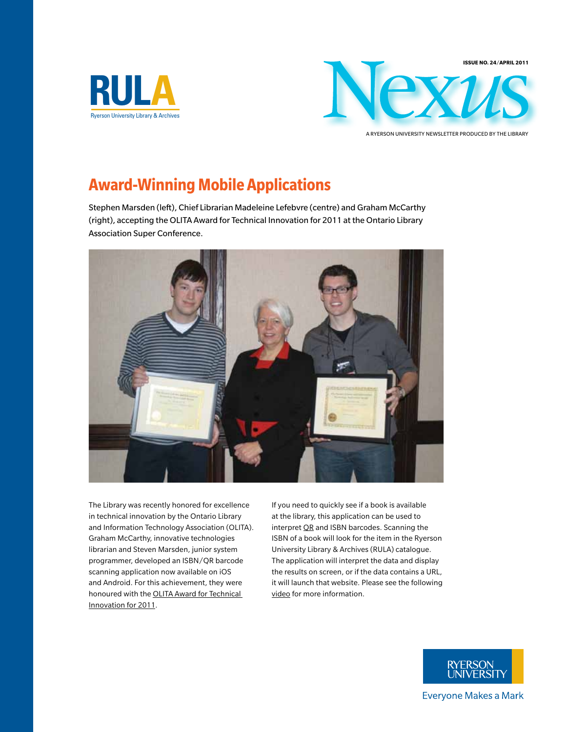



A ryerson University Newsletter Produced by the Library

# **Award-Winning Mobile Applications**

Stephen Marsden (left), Chief Librarian Madeleine Lefebvre (centre) and Graham McCarthy (right), accepting the OLITA Award for Technical Innovation for 2011 at the Ontario Library Association Super Conference.



The Library was recently honored for excellence in technical innovation by the Ontario Library and Information Technology Association (OLITA). Graham McCarthy, innovative technologies librarian and Steven Marsden, junior system programmer, developed an ISBN/QR barcode scanning application now available on iOS and Android. For this achievement, they were honoured with the [OLITA Award for Technical](http://accessola.com/ola/bins/content_page.asp?cid=130-199)  [Innovation for 2011.](http://accessola.com/ola/bins/content_page.asp?cid=130-199)

If you need to quickly see if a book is available at the library, this application can be used to interpret [QR](http://www.ryerson.ca/library/qr/) and ISBN barcodes. Scanning the ISBN of a book will look for the item in the Ryerson University Library & Archives (RULA) catalogue. The application will interpret the data and display the results on screen, or if the data contains a URL, it will launch that website. Please see the following [video](http://www.youtube.com/watch?v=RmKS1jJz7JI&feature=player_embedded) for more information.



**Everyone Makes a Mark**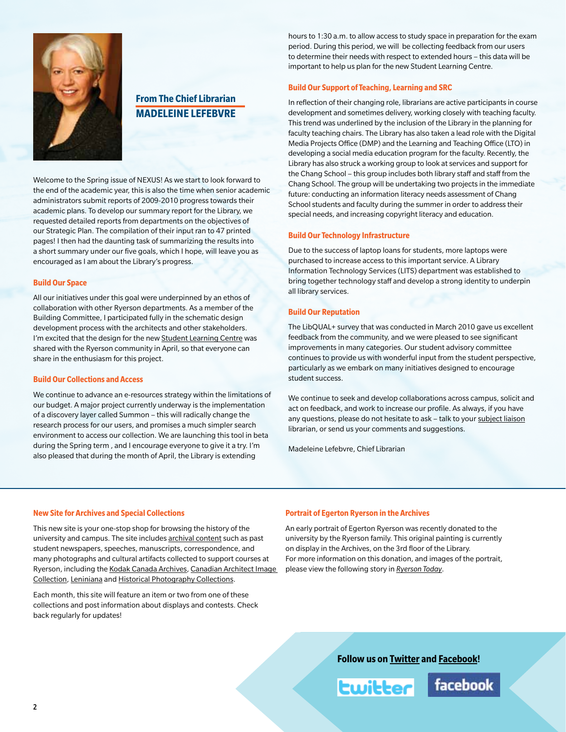

# **From The Chief Librarian Madeleine Lefebvre**

Welcome to the Spring issue of NEXUS! As we start to look forward to the end of the academic year, this is also the time when senior academic administrators submit reports of 2009-2010 progress towards their academic plans. To develop our summary report for the Library, we requested detailed reports from departments on the objectives of our Strategic Plan. The compilation of their input ran to 47 printed pages! I then had the daunting task of summarizing the results into a short summary under our five goals, which I hope, will leave you as encouraged as I am about the Library's progress.

#### **Build Our Space**

All our initiatives under this goal were underpinned by an ethos of collaboration with other Ryerson departments. As a member of the Building Committee, I participated fully in the schematic design development process with the architects and other stakeholders. I'm excited that the design for the new [Student Learning Centre](http://www.ryerson.ca/news/news/General_Public/20110406_slc.html) was shared with the Ryerson community in April, so that everyone can share in the enthusiasm for this project.

#### **Build Our Collections and Access**

We continue to advance an e-resources strategy within the limitations of our budget. A major project currently underway is the implementation of a discovery layer called Summon – this will radically change the research process for our users, and promises a much simpler search environment to access our collection. We are launching this tool in beta during the Spring term , and I encourage everyone to give it a try. I'm also pleased that during the month of April, the Library is extending

hours to 1:30 a.m. to allow access to study space in preparation for the exam period. During this period, we will be collecting feedback from our users to determine their needs with respect to extended hours – this data will be important to help us plan for the new Student Learning Centre.

#### **Build Our Support of Teaching, Learning and SRC**

In reflection of their changing role, librarians are active participants in course development and sometimes delivery, working closely with teaching faculty. This trend was underlined by the inclusion of the Library in the planning for faculty teaching chairs. The Library has also taken a lead role with the Digital Media Projects Office (DMP) and the Learning and Teaching Office (LTO) in developing a social media education program for the faculty. Recently, the Library has also struck a working group to look at services and support for the Chang School – this group includes both library staff and staff from the Chang School. The group will be undertaking two projects in the immediate future: conducting an information literacy needs assessment of Chang School students and faculty during the summer in order to address their special needs, and increasing copyright literacy and education.

#### **Build Our Technology Infrastructure**

Due to the success of laptop loans for students, more laptops were purchased to increase access to this important service. A Library Information Technology Services (LITS) department was established to bring together technology staff and develop a strong identity to underpin all library services.

#### **Build Our Reputation**

The LibQUAL+ survey that was conducted in March 2010 gave us excellent feedback from the community, and we were pleased to see significant improvements in many categories. Our student advisory committee continues to provide us with wonderful input from the student perspective, particularly as we embark on many initiatives designed to encourage student success.

We continue to seek and develop collaborations across campus, solicit and act on feedback, and work to increase our profile. As always, if you have any questions, please do not hesitate to ask – talk to your [subject liaison](http://www.runner.ryerson.ca/library/staffdirectory/?type=subject) librarian, or send us your comments and suggestions.

Madeleine Lefebvre, Chief Librarian

#### **New Site for Archives and Special Collections**

This new site is your one-stop shop for browsing the history of the university and campus. The site includes [archival content](http://www.ryerson.ca/archives/ahome.html) such as past student newspapers, speeches, manuscripts, correspondence, and many photographs and cultural artifacts collected to support courses at Ryerson, including the [Kodak Canada Archives, Canadian Architect Image](http://www.ryerson.ca/archives/sc/photo/index.html)  [Collection](http://www.ryerson.ca/archives/sc/photo/index.html), [Leniniana](http://www.ryerson.ca/archives/sc/leniniana/index.html) and [Historical Photography Collections.](http://www.ryerson.ca/archives/sc/photo/index.html)

Each month, this site will feature an item or two from one of these collections and post information about displays and contests. Check back regularly for updates!

#### **Portrait of Egerton Ryerson in the Archives**

An early portrait of Egerton Ryerson was recently donated to the university by the Ryerson family. This original painting is currently on display in the Archives, on the 3rd floor of the Library. For more information on this donation, and images of the portrait, please view the following story in *[Ryerson Today](http://www.ryerson.ca/ryersontoday/stories/20110228_portrait.html)*.

**Follow us on [Twitter](http://twitter.com/ryersonlibrary) and [Facebook!](http://www.facebook.com/pages/Toronto-ON/Ryerson-University-Library/5863804371?ref=mf)**

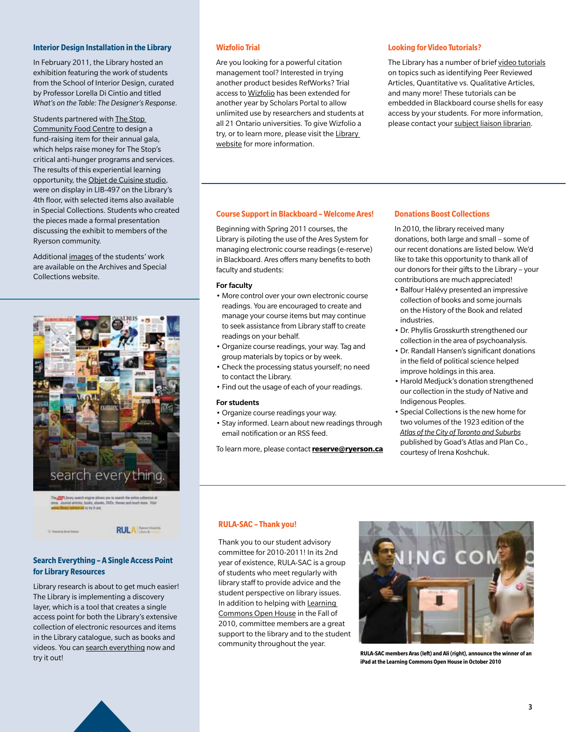#### **Interior Design Installation in the Library**

In February 2011, the Library hosted an exhibition featuring the work of students from the School of Interior Design, curated by Professor Lorella Di Cintio and titled *What's on the Table: The Designer's Response*.

Students partnered with [The Stop](http://www.thestop.org/)  [Community Food Centre](http://www.thestop.org/) to design a fund-raising item for their annual gala, which helps raise money for The Stop's critical anti-hunger programs and services. The results of this experiential learning opportunity, the [Objet de Cuisine studio,](http://dl.dropbox.com/u/20131332/Revised%20Spoon%20Poster.pdf) were on display in LIB-497 on the Library's 4th floor, with selected items also available in Special Collections. Students who created the pieces made a formal presentation discussing the exhibit to members of the Ryerson community.

Additional [images](http://news.library.ryerson.ca/asc/2011/02/whats-on-the-table-the-designers-response/) of the students' work are available on the Archives and Special Collections website.



# **Search Everything – A Single Access Point for Library Resources**

Library research is about to get much easier! The Library is implementing a discovery layer, which is a tool that creates a single access point for both the Library's extensive collection of electronic resources and items in the Library catalogue, such as books and videos. You can [search everything](http://ryerson.summon.serialssolutions.com/) now and try it out!

#### **Wizfolio Trial**

Are you looking for a powerful citation management tool? Interested in trying another product besides RefWorks? Trial access to [Wizfolio](http://wizfolio.com/) has been extended for another year by Scholars Portal to allow unlimited use by researchers and students at all 21 Ontario universities. To give Wizfolio a try, or to learn more, please visit the Library [website](http://news.library.ryerson.ca/2011/01/wizfolio-trial-extended/) for more information.

### **Looking for Video Tutorials?**

The Library has a number of brief [video tutorials](http://www.ryerson.ca/library/tutorials/) on topics such as identifying Peer Reviewed Articles, Quantitative vs. Qualitative Articles, and many more! These tutorials can be embedded in Blackboard course shells for easy access by your students. For more information, please contact your [subject liaison librarian](http://www.runner.ryerson.ca/library/staffdirectory/?type=subject).

#### **Course Support in Blackboard – Welcome Ares!**

Beginning with Spring 2011 courses, the Library is piloting the use of the Ares System for managing electronic course readings (e-reserve) in Blackboard. Ares offers many benefits to both faculty and students:

#### For faculty

- More control over your own electronic course readings. You are encouraged to create and manage your course items but may continue to seek assistance from Library staff to create readings on your behalf.
- Organize course readings, your way. Tag and group materials by topics or by week.
- Check the processing status yourself; no need to contact the Library.
- Find out the usage of each of your readings.

#### For students

- Organize course readings your way.
- Stay informed. Learn about new readings through email notification or an RSS feed.

To learn more, please contact **[reserve@ryerson.ca](mailto:reserve%40ryerson.ca?subject=)**

# **Donations Boost Collections**

In 2010, the library received many donations, both large and small – some of our recent donations are listed below. We'd like to take this opportunity to thank all of our donors for their gifts to the Library – your contributions are much appreciated!

- Balfour Halévy presented an impressive collection of books and some journals on the History of the Book and related industries.
- Dr. Phyllis Grosskurth strengthened our collection in the area of psychoanalysis.
- Dr. Randall Hansen's significant donations in the field of political science helped improve holdings in this area.
- Harold Medjuck's donation strengthened our collection in the study of Native and Indigenous Peoples.
- Special Collections is the new home for two volumes of the 1923 edition of the *[Atlas of the City of Toronto and Suburbs](http://news.library.ryerson.ca/asc/page/2/)* published by Goad's Atlas and Plan Co., courtesy of Irena Koshchuk.

#### **RULA-SAC – Thank you!**

Thank you to our student advisory committee for 2010-2011! In its 2nd year of existence, RULA-SAC is a group of students who meet regularly with library staff to provide advice and the student perspective on library issues. In addition to helping with [Learning](http://news.library.ryerson.ca/2010/10/learning-commons-open-house-oct-19-2/)  [Commons Open House](http://news.library.ryerson.ca/2010/10/learning-commons-open-house-oct-19-2/) in the Fall of 2010, committee members are a great support to the library and to the student community throughout the year.



**RULA-SAC members Aras (left) and Ali (right), announce the winner of an iPad at the Learning Commons Open House in October 2010**